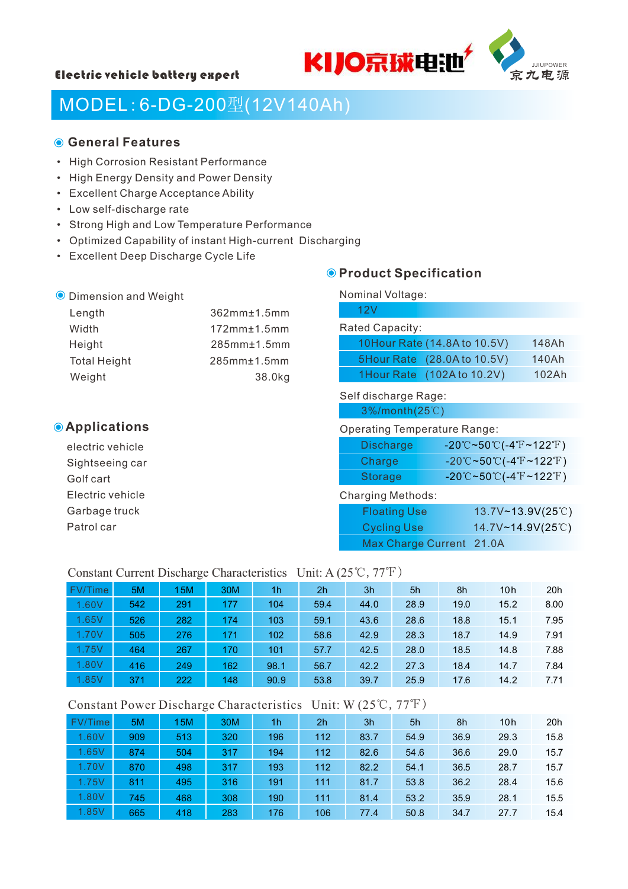



# MODEL:6-DG-200型(12V140Ah)

# **General Features**

- High Corrosion Resistant Performance
- High Energy Density and Power Density
- Excellent Charge Acceptance Ability
- Low self-discharge rate
- Strong High and Low Temperature Performance
- Optimized Capability of instant High-current Discharging
- Excellent Deep Discharge Cycle Life

# **O** Product Specification

| <b>O</b> Dimension and Weight |                    | Nominal Voltage:             |       |  |  |  |
|-------------------------------|--------------------|------------------------------|-------|--|--|--|
| Length                        | 362mm±1.5mm        | 12V                          |       |  |  |  |
| Width                         | $172mm \pm 1.5mm$  | <b>Rated Capacity:</b>       |       |  |  |  |
| Height                        | $285$ mm $±1.5$ mm | 10Hour Rate (14.8A to 10.5V) | 148Ah |  |  |  |
| <b>Total Height</b>           | $285mm \pm 1.5mm$  | 5Hour Rate (28.0A to 10.5V)  | 140Ah |  |  |  |
| Weight                        | 38.0kg             | 1Hour Rate (102A to 10.2V)   | 102Ah |  |  |  |
|                               |                    | Self discharge Rage:         |       |  |  |  |

# **Applications**

electric vehicle Sightseeing car Golf cart Electric vehicle Garbage truck Patrol car

#### Operating Temperature Range:

3%/month(25℃)

| <b>Discharge</b> | $-20^{\circ}$ C~50 $^{\circ}$ C(-4 $^{\circ}$ F~122 $^{\circ}$ F) |
|------------------|-------------------------------------------------------------------|
| Charge           | $-20^{\circ}$ C~50 $^{\circ}$ C(-4 $^{\circ}$ F~122 $^{\circ}$ F) |
| Storage          | $-20^{\circ}$ C~50 $^{\circ}$ C(-4 $^{\circ}$ F~122 $^{\circ}$ F) |

#### Charging Methods:

| <b>Floating Use</b>      | $13.7 \vee - 13.9 \vee (25^\circ \circ)$ |
|--------------------------|------------------------------------------|
| <b>Cycling Use</b>       | 14.7V~14.9V(25°C)                        |
| Max Charge Current 21.0A |                                          |

#### Constant Current Discharge Characteristics Unit: A (25℃,77℉)

| FV/Time | 5M  | 15M | 30M | 1h   | 2 <sub>h</sub> | 3h   | 5h   | 8h   | 10h  | 20h  |
|---------|-----|-----|-----|------|----------------|------|------|------|------|------|
| 1.60V   | 542 | 291 | 177 | 104  | 59.4           | 44.0 | 28.9 | 19.0 | 15.2 | 8.00 |
| 1.65V   | 526 | 282 | 174 | 103  | 59.1           | 43.6 | 28.6 | 18.8 | 15.1 | 7.95 |
| 1.70V   | 505 | 276 | 171 | 102  | 58.6           | 42.9 | 28.3 | 18.7 | 14.9 | 7.91 |
| 1.75V   | 464 | 267 | 170 | 101  | 57.7           | 42.5 | 28.0 | 18.5 | 14.8 | 7.88 |
| 1.80V   | 416 | 249 | 162 | 98.1 | 56.7           | 42.2 | 27.3 | 18.4 | 14.7 | 7.84 |
| 1.85V   | 371 | 222 | 148 | 90.9 | 53.8           | 39.7 | 25.9 | 17.6 | 14.2 | 7.71 |

### Constant Power Discharge Characteristics Unit: W (25℃,77℉)

| FV/Time | 5M  | 15M | 30M | 1h  | 2 <sub>h</sub> | 3h   | 5h   | 8h   | 10h  | 20h  |
|---------|-----|-----|-----|-----|----------------|------|------|------|------|------|
| 1.60V   | 909 | 513 | 320 | 196 | 112            | 83.7 | 54.9 | 36.9 | 29.3 | 15.8 |
| 1.65V   | 874 | 504 | 317 | 194 | 112            | 82.6 | 54.6 | 36.6 | 29.0 | 15.7 |
| 1.70V   | 870 | 498 | 317 | 193 | 112            | 82.2 | 54.1 | 36.5 | 28.7 | 15.7 |
| 1.75V   | 811 | 495 | 316 | 191 | 111            | 81.7 | 53.8 | 36.2 | 28.4 | 15.6 |
| 1.80V   | 745 | 468 | 308 | 190 | 111            | 81.4 | 53.2 | 35.9 | 28.1 | 15.5 |
| 1.85V   | 665 | 418 | 283 | 176 | 106            | 77.4 | 50.8 | 34.7 | 27.7 | 15.4 |